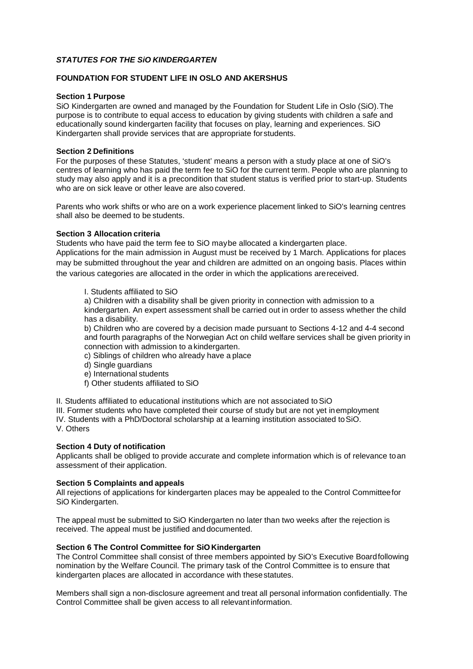## *STATUTES FOR THE SiO KINDERGARTEN*

## **FOUNDATION FOR STUDENT LIFE IN OSLO AND AKERSHUS**

#### **Section 1 Purpose**

SiO Kindergarten are owned and managed by the Foundation for Student Life in Oslo (SiO).The purpose is to contribute to equal access to education by giving students with children a safe and educationally sound kindergarten facility that focuses on play, learning and experiences. SiO Kindergarten shall provide services that are appropriate forstudents.

### **Section 2 Definitions**

For the purposes of these Statutes, 'student' means a person with a study place at one of SiO's centres of learning who has paid the term fee to SiO for the current term. People who are planning to study may also apply and it is a precondition that student status is verified prior to start-up. Students who are on sick leave or other leave are also covered.

Parents who work shifts or who are on a work experience placement linked to SiO's learning centres shall also be deemed to be students.

## **Section 3 Allocation criteria**

Students who have paid the term fee to SiO maybe allocated a kindergarten place.

Applications for the main admission in August must be received by 1 March. Applications for places may be submitted throughout the year and children are admitted on an ongoing basis. Places within the various categories are allocated in the order in which the applications arereceived.

#### I. Students affiliated to SiO

a) Children with a disability shall be given priority in connection with admission to a kindergarten. An expert assessment shall be carried out in order to assess whether the child has a disability.

b) Children who are covered by a decision made pursuant to Sections 4-12 and 4-4 second and fourth paragraphs of the Norwegian Act on child welfare services shall be given priority in connection with admission to a kindergarten.

c) Siblings of children who already have a place

- d) Single guardians
- e) International students
- f) Other students affiliated to SiO

II. Students affiliated to educational institutions which are not associated toSiO

III. Former students who have completed their course of study but are not yet inemployment

IV. Students with a PhD/Doctoral scholarship at a learning institution associated toSiO. V. Others

#### **Section 4 Duty of notification**

Applicants shall be obliged to provide accurate and complete information which is of relevance toan assessment of their application.

#### **Section 5 Complaints and appeals**

All rejections of applications for kindergarten places may be appealed to the Control Committeefor SiO Kindergarten.

The appeal must be submitted to SiO Kindergarten no later than two weeks after the rejection is received. The appeal must be justified and documented.

#### **Section 6 The Control Committee for SiOKindergarten**

The Control Committee shall consist of three members appointed by SiO's Executive Boardfollowing nomination by the Welfare Council. The primary task of the Control Committee is to ensure that kindergarten places are allocated in accordance with thesestatutes.

Members shall sign a non-disclosure agreement and treat all personal information confidentially. The Control Committee shall be given access to all relevant information.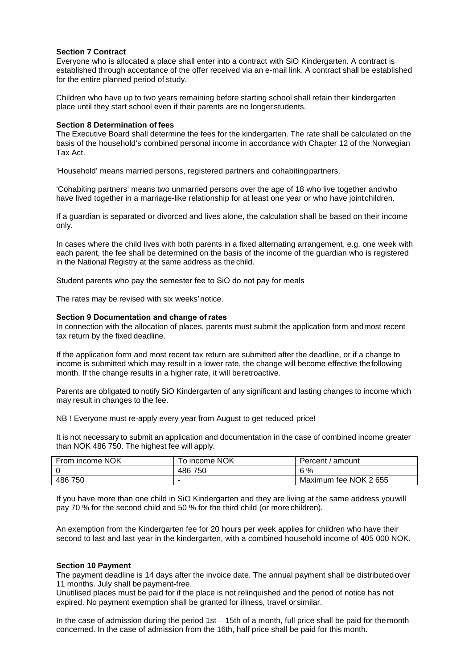## **Section 7 Contract**

Everyone who is allocated a place shall enter into a contract with SiO Kindergarten. A contract is established through acceptance of the offer received via an e-mail link. A contract shall be established for the entire planned period of study.

Children who have up to two years remaining before starting school shall retain their kindergarten place until they start school even if their parents are no longer students.

#### **Section 8 Determination of fees**

The Executive Board shall determine the fees for the kindergarten. The rate shall be calculated on the basis of the household's combined personal income in accordance with Chapter 12 of the Norwegian Tax Act.

'Household' means married persons, registered partners and cohabitingpartners.

'Cohabiting partners' means two unmarried persons over the age of 18 who live together andwho have lived together in a marriage-like relationship for at least one year or who have jointchildren.

If a guardian is separated or divorced and lives alone, the calculation shall be based on their income only.

In cases where the child lives with both parents in a fixed alternating arrangement, e.g. one week with each parent, the fee shall be determined on the basis of the income of the guardian who is registered in the National Registry at the same address as the child.

Student parents who pay the semester fee to SiO do not pay for meals

The rates may be revised with six weeks'notice.

## **Section 9 Documentation and change ofrates**

In connection with the allocation of places, parents must submit the application form andmost recent tax return by the fixed deadline.

If the application form and most recent tax return are submitted after the deadline, or if a change to income is submitted which may result in a lower rate, the change will become effective thefollowing month. If the change results in a higher rate, it will beretroactive.

Parents are obligated to notify SiO Kindergarten of any significant and lasting changes to income which may result in changes to the fee.

NB ! Everyone must re-apply every year from August to get reduced price!

It is not necessary to submit an application and documentation in the case of combined income greater than NOK 486 750. The highest fee will apply.

| From income NOK | To income NOK | Percent / amount      |
|-----------------|---------------|-----------------------|
|                 | 486<br>750    | 6 %                   |
| 486 750         |               | Maximum fee NOK 2 655 |

If you have more than one child in SiO Kindergarten and they are living at the same address youwill pay 70 % for the second child and 50 % for the third child (or morechildren).

An exemption from the Kindergarten fee for 20 hours per week applies for children who have their second to last and last year in the kindergarten, with a combined household income of 405 000 NOK.

#### **Section 10 Payment**

The payment deadline is 14 days after the invoice date. The annual payment shall be distributedover 11 months. July shall be payment-free.

Unutilised places must be paid for if the place is not relinquished and the period of notice has not expired. No payment exemption shall be granted for illness, travel or similar.

In the case of admission during the period 1st – 15th of a month, full price shall be paid for themonth concerned. In the case of admission from the 16th, half price shall be paid for this month.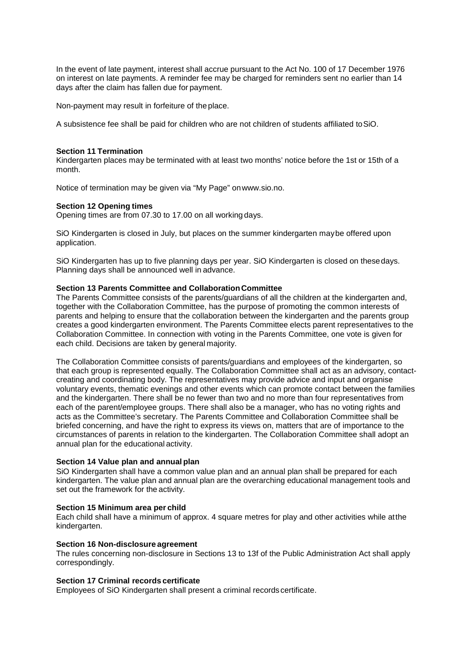In the event of late payment, interest shall accrue pursuant to the Act No. 100 of 17 December 1976 on interest on late payments. A reminder fee may be charged for reminders sent no earlier than 14 days after the claim has fallen due for payment.

Non-payment may result in forfeiture of theplace.

A subsistence fee shall be paid for children who are not children of students affiliated toSiO.

#### **Section 11 Termination**

Kindergarten places may be terminated with at least two months' notice before the 1st or 15th of a month.

Notice of termination may be given via "My Page" o[nwww.sio.no.](http://www.sio.no/)

## **Section 12 Opening times**

Opening times are from 07.30 to 17.00 on all working days.

SiO Kindergarten is closed in July, but places on the summer kindergarten maybe offered upon application.

SiO Kindergarten has up to five planning days per year. SiO Kindergarten is closed on thesedays. Planning days shall be announced well in advance.

## **Section 13 Parents Committee and CollaborationCommittee**

The Parents Committee consists of the parents/guardians of all the children at the kindergarten and, together with the Collaboration Committee, has the purpose of promoting the common interests of parents and helping to ensure that the collaboration between the kindergarten and the parents group creates a good kindergarten environment. The Parents Committee elects parent representatives to the Collaboration Committee. In connection with voting in the Parents Committee, one vote is given for each child. Decisions are taken by general majority.

The Collaboration Committee consists of parents/guardians and employees of the kindergarten, so that each group is represented equally. The Collaboration Committee shall act as an advisory, contactcreating and coordinating body. The representatives may provide advice and input and organise voluntary events, thematic evenings and other events which can promote contact between the families and the kindergarten. There shall be no fewer than two and no more than four representatives from each of the parent/employee groups. There shall also be a manager, who has no voting rights and acts as the Committee's secretary. The Parents Committee and Collaboration Committee shall be briefed concerning, and have the right to express its views on, matters that are of importance to the circumstances of parents in relation to the kindergarten. The Collaboration Committee shall adopt an annual plan for the educational activity.

#### **Section 14 Value plan and annual plan**

SiO Kindergarten shall have a common value plan and an annual plan shall be prepared for each kindergarten. The value plan and annual plan are the overarching educational management tools and set out the framework for the activity.

#### **Section 15 Minimum area per child**

Each child shall have a minimum of approx. 4 square metres for play and other activities while atthe kindergarten.

#### **Section 16 Non-disclosure agreement**

The rules concerning non-disclosure in Sections 13 to 13f of the Public Administration Act shall apply correspondingly.

## **Section 17 Criminal records certificate**

Employees of SiO Kindergarten shall present a criminal records certificate.